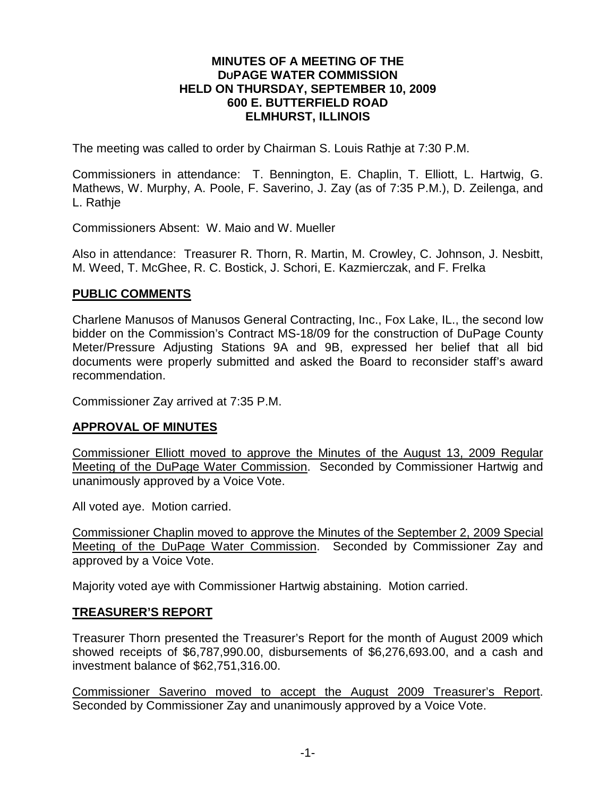#### **MINUTES OF A MEETING OF THE DUPAGE WATER COMMISSION HELD ON THURSDAY, SEPTEMBER 10, 2009 600 E. BUTTERFIELD ROAD ELMHURST, ILLINOIS**

The meeting was called to order by Chairman S. Louis Rathje at 7:30 P.M.

Commissioners in attendance: T. Bennington, E. Chaplin, T. Elliott, L. Hartwig, G. Mathews, W. Murphy, A. Poole, F. Saverino, J. Zay (as of 7:35 P.M.), D. Zeilenga, and L. Rathje

Commissioners Absent: W. Maio and W. Mueller

Also in attendance: Treasurer R. Thorn, R. Martin, M. Crowley, C. Johnson, J. Nesbitt, M. Weed, T. McGhee, R. C. Bostick, J. Schori, E. Kazmierczak, and F. Frelka

#### **PUBLIC COMMENTS**

Charlene Manusos of Manusos General Contracting, Inc., Fox Lake, IL., the second low bidder on the Commission's Contract MS-18/09 for the construction of DuPage County Meter/Pressure Adjusting Stations 9A and 9B, expressed her belief that all bid documents were properly submitted and asked the Board to reconsider staff's award recommendation.

Commissioner Zay arrived at 7:35 P.M.

### **APPROVAL OF MINUTES**

Commissioner Elliott moved to approve the Minutes of the August 13, 2009 Regular Meeting of the DuPage Water Commission. Seconded by Commissioner Hartwig and unanimously approved by a Voice Vote.

All voted aye. Motion carried.

Commissioner Chaplin moved to approve the Minutes of the September 2, 2009 Special Meeting of the DuPage Water Commission. Seconded by Commissioner Zay and approved by a Voice Vote.

Majority voted aye with Commissioner Hartwig abstaining. Motion carried.

#### **TREASURER'S REPORT**

Treasurer Thorn presented the Treasurer's Report for the month of August 2009 which showed receipts of \$6,787,990.00, disbursements of \$6,276,693.00, and a cash and investment balance of \$62,751,316.00.

Commissioner Saverino moved to accept the August 2009 Treasurer's Report. Seconded by Commissioner Zay and unanimously approved by a Voice Vote.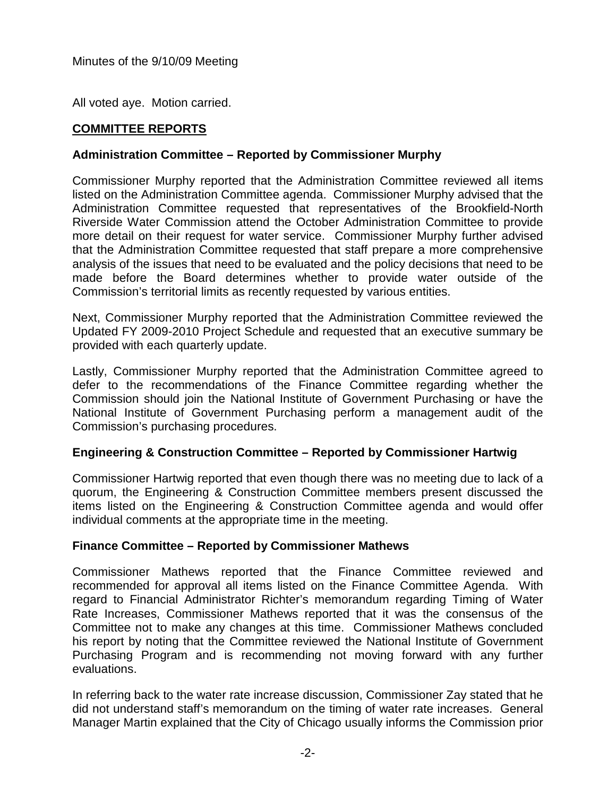All voted aye. Motion carried.

# **COMMITTEE REPORTS**

### **Administration Committee – Reported by Commissioner Murphy**

Commissioner Murphy reported that the Administration Committee reviewed all items listed on the Administration Committee agenda. Commissioner Murphy advised that the Administration Committee requested that representatives of the Brookfield-North Riverside Water Commission attend the October Administration Committee to provide more detail on their request for water service. Commissioner Murphy further advised that the Administration Committee requested that staff prepare a more comprehensive analysis of the issues that need to be evaluated and the policy decisions that need to be made before the Board determines whether to provide water outside of the Commission's territorial limits as recently requested by various entities.

Next, Commissioner Murphy reported that the Administration Committee reviewed the Updated FY 2009-2010 Project Schedule and requested that an executive summary be provided with each quarterly update.

Lastly, Commissioner Murphy reported that the Administration Committee agreed to defer to the recommendations of the Finance Committee regarding whether the Commission should join the National Institute of Government Purchasing or have the National Institute of Government Purchasing perform a management audit of the Commission's purchasing procedures.

### **Engineering & Construction Committee – Reported by Commissioner Hartwig**

Commissioner Hartwig reported that even though there was no meeting due to lack of a quorum, the Engineering & Construction Committee members present discussed the items listed on the Engineering & Construction Committee agenda and would offer individual comments at the appropriate time in the meeting.

### **Finance Committee – Reported by Commissioner Mathews**

Commissioner Mathews reported that the Finance Committee reviewed and recommended for approval all items listed on the Finance Committee Agenda. With regard to Financial Administrator Richter's memorandum regarding Timing of Water Rate Increases, Commissioner Mathews reported that it was the consensus of the Committee not to make any changes at this time. Commissioner Mathews concluded his report by noting that the Committee reviewed the National Institute of Government Purchasing Program and is recommending not moving forward with any further evaluations.

In referring back to the water rate increase discussion, Commissioner Zay stated that he did not understand staff's memorandum on the timing of water rate increases. General Manager Martin explained that the City of Chicago usually informs the Commission prior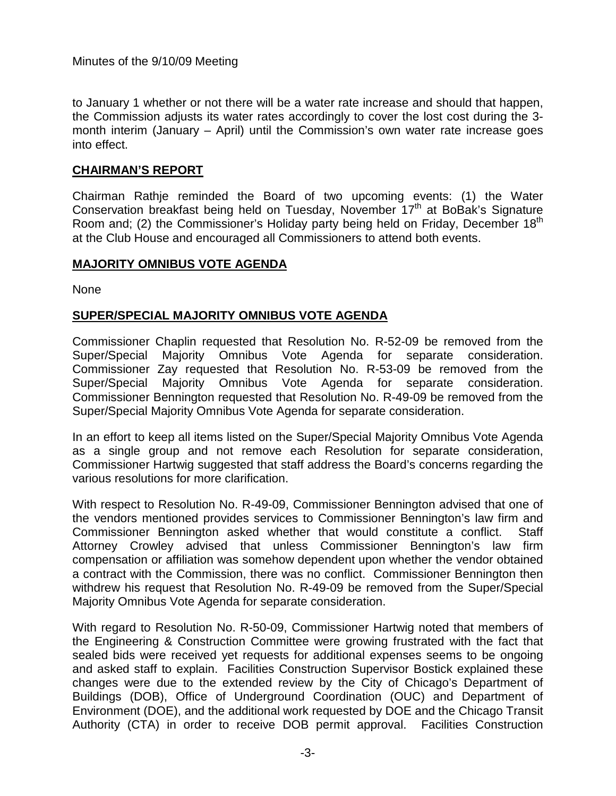to January 1 whether or not there will be a water rate increase and should that happen, the Commission adjusts its water rates accordingly to cover the lost cost during the 3 month interim (January – April) until the Commission's own water rate increase goes into effect.

### **CHAIRMAN'S REPORT**

Chairman Rathje reminded the Board of two upcoming events: (1) the Water Conservation breakfast being held on Tuesday, November 17<sup>th</sup> at BoBak's Signature Room and; (2) the Commissioner's Holiday party being held on Friday, December 18<sup>th</sup> at the Club House and encouraged all Commissioners to attend both events.

# **MAJORITY OMNIBUS VOTE AGENDA**

None

# **SUPER/SPECIAL MAJORITY OMNIBUS VOTE AGENDA**

Commissioner Chaplin requested that Resolution No. R-52-09 be removed from the Super/Special Majority Omnibus Vote Agenda for separate consideration. Commissioner Zay requested that Resolution No. R-53-09 be removed from the Super/Special Majority Omnibus Vote Agenda for separate consideration. Commissioner Bennington requested that Resolution No. R-49-09 be removed from the Super/Special Majority Omnibus Vote Agenda for separate consideration.

In an effort to keep all items listed on the Super/Special Majority Omnibus Vote Agenda as a single group and not remove each Resolution for separate consideration, Commissioner Hartwig suggested that staff address the Board's concerns regarding the various resolutions for more clarification.

With respect to Resolution No. R-49-09, Commissioner Bennington advised that one of the vendors mentioned provides services to Commissioner Bennington's law firm and Commissioner Bennington asked whether that would constitute a conflict. Staff Attorney Crowley advised that unless Commissioner Bennington's law firm compensation or affiliation was somehow dependent upon whether the vendor obtained a contract with the Commission, there was no conflict. Commissioner Bennington then withdrew his request that Resolution No. R-49-09 be removed from the Super/Special Majority Omnibus Vote Agenda for separate consideration.

With regard to Resolution No. R-50-09, Commissioner Hartwig noted that members of the Engineering & Construction Committee were growing frustrated with the fact that sealed bids were received yet requests for additional expenses seems to be ongoing and asked staff to explain. Facilities Construction Supervisor Bostick explained these changes were due to the extended review by the City of Chicago's Department of Buildings (DOB), Office of Underground Coordination (OUC) and Department of Environment (DOE), and the additional work requested by DOE and the Chicago Transit Authority (CTA) in order to receive DOB permit approval. Facilities Construction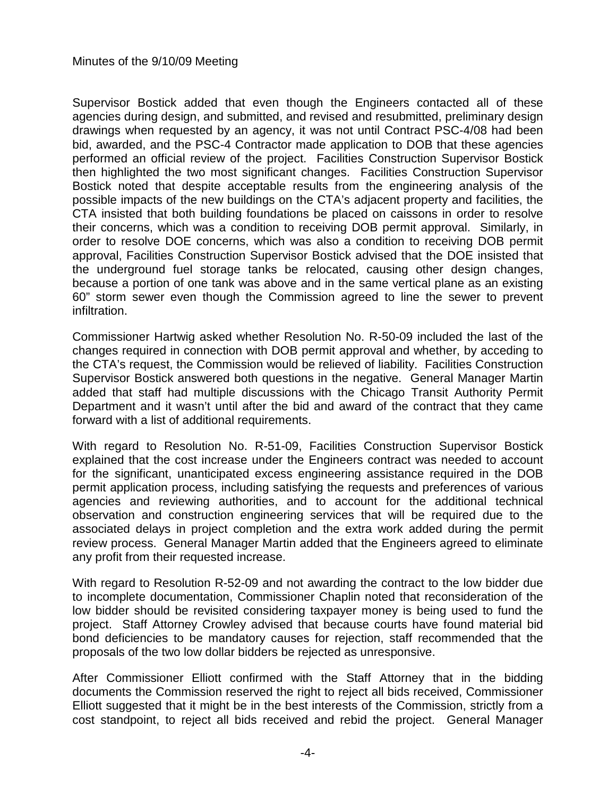Supervisor Bostick added that even though the Engineers contacted all of these agencies during design, and submitted, and revised and resubmitted, preliminary design drawings when requested by an agency, it was not until Contract PSC-4/08 had been bid, awarded, and the PSC-4 Contractor made application to DOB that these agencies performed an official review of the project. Facilities Construction Supervisor Bostick then highlighted the two most significant changes. Facilities Construction Supervisor Bostick noted that despite acceptable results from the engineering analysis of the possible impacts of the new buildings on the CTA's adjacent property and facilities, the CTA insisted that both building foundations be placed on caissons in order to resolve their concerns, which was a condition to receiving DOB permit approval. Similarly, in order to resolve DOE concerns, which was also a condition to receiving DOB permit approval, Facilities Construction Supervisor Bostick advised that the DOE insisted that the underground fuel storage tanks be relocated, causing other design changes, because a portion of one tank was above and in the same vertical plane as an existing 60" storm sewer even though the Commission agreed to line the sewer to prevent infiltration.

Commissioner Hartwig asked whether Resolution No. R-50-09 included the last of the changes required in connection with DOB permit approval and whether, by acceding to the CTA's request, the Commission would be relieved of liability. Facilities Construction Supervisor Bostick answered both questions in the negative. General Manager Martin added that staff had multiple discussions with the Chicago Transit Authority Permit Department and it wasn't until after the bid and award of the contract that they came forward with a list of additional requirements.

With regard to Resolution No. R-51-09, Facilities Construction Supervisor Bostick explained that the cost increase under the Engineers contract was needed to account for the significant, unanticipated excess engineering assistance required in the DOB permit application process, including satisfying the requests and preferences of various agencies and reviewing authorities, and to account for the additional technical observation and construction engineering services that will be required due to the associated delays in project completion and the extra work added during the permit review process. General Manager Martin added that the Engineers agreed to eliminate any profit from their requested increase.

With regard to Resolution R-52-09 and not awarding the contract to the low bidder due to incomplete documentation, Commissioner Chaplin noted that reconsideration of the low bidder should be revisited considering taxpayer money is being used to fund the project. Staff Attorney Crowley advised that because courts have found material bid bond deficiencies to be mandatory causes for rejection, staff recommended that the proposals of the two low dollar bidders be rejected as unresponsive.

After Commissioner Elliott confirmed with the Staff Attorney that in the bidding documents the Commission reserved the right to reject all bids received, Commissioner Elliott suggested that it might be in the best interests of the Commission, strictly from a cost standpoint, to reject all bids received and rebid the project. General Manager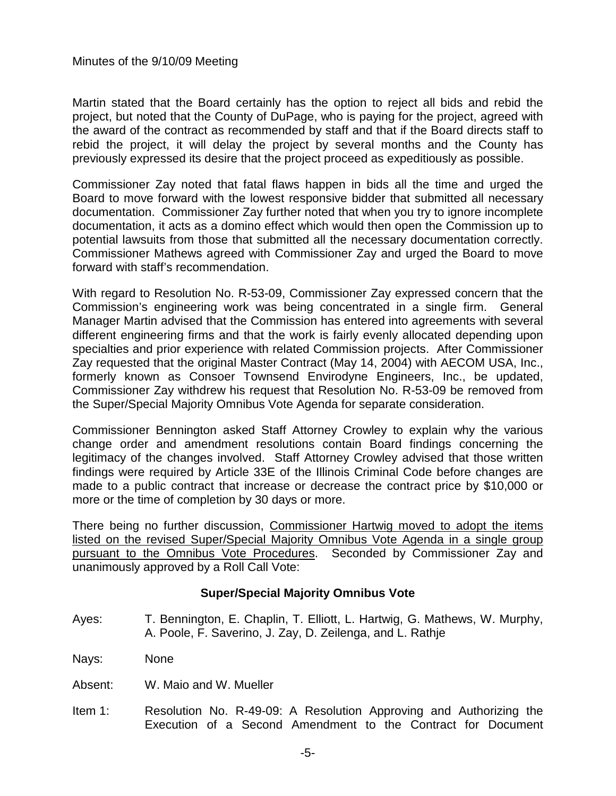Martin stated that the Board certainly has the option to reject all bids and rebid the project, but noted that the County of DuPage, who is paying for the project, agreed with the award of the contract as recommended by staff and that if the Board directs staff to rebid the project, it will delay the project by several months and the County has previously expressed its desire that the project proceed as expeditiously as possible.

Commissioner Zay noted that fatal flaws happen in bids all the time and urged the Board to move forward with the lowest responsive bidder that submitted all necessary documentation. Commissioner Zay further noted that when you try to ignore incomplete documentation, it acts as a domino effect which would then open the Commission up to potential lawsuits from those that submitted all the necessary documentation correctly. Commissioner Mathews agreed with Commissioner Zay and urged the Board to move forward with staff's recommendation.

With regard to Resolution No. R-53-09, Commissioner Zay expressed concern that the Commission's engineering work was being concentrated in a single firm. General Manager Martin advised that the Commission has entered into agreements with several different engineering firms and that the work is fairly evenly allocated depending upon specialties and prior experience with related Commission projects. After Commissioner Zay requested that the original Master Contract (May 14, 2004) with AECOM USA, Inc., formerly known as Consoer Townsend Envirodyne Engineers, Inc., be updated, Commissioner Zay withdrew his request that Resolution No. R-53-09 be removed from the Super/Special Majority Omnibus Vote Agenda for separate consideration.

Commissioner Bennington asked Staff Attorney Crowley to explain why the various change order and amendment resolutions contain Board findings concerning the legitimacy of the changes involved. Staff Attorney Crowley advised that those written findings were required by Article 33E of the Illinois Criminal Code before changes are made to a public contract that increase or decrease the contract price by \$10,000 or more or the time of completion by 30 days or more.

There being no further discussion, Commissioner Hartwig moved to adopt the items listed on the revised Super/Special Majority Omnibus Vote Agenda in a single group pursuant to the Omnibus Vote Procedures. Seconded by Commissioner Zay and unanimously approved by a Roll Call Vote:

### **Super/Special Majority Omnibus Vote**

Ayes: T. Bennington, E. Chaplin, T. Elliott, L. Hartwig, G. Mathews, W. Murphy, A. Poole, F. Saverino, J. Zay, D. Zeilenga, and L. Rathje

Nays: None

- Absent: W. Maio and W. Mueller
- Item 1: Resolution No. R-49-09: A Resolution Approving and Authorizing the Execution of a Second Amendment to the Contract for Document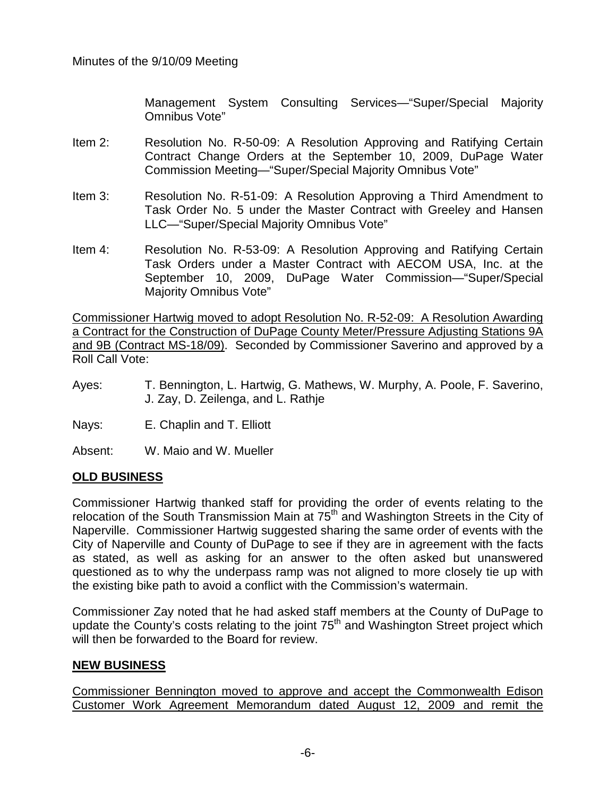Management System Consulting Services—"Super/Special Majority Omnibus Vote"

- Item 2: Resolution No. R-50-09: A Resolution Approving and Ratifying Certain Contract Change Orders at the September 10, 2009, DuPage Water Commission Meeting—"Super/Special Majority Omnibus Vote"
- Item 3: Resolution No. R-51-09: A Resolution Approving a Third Amendment to Task Order No. 5 under the Master Contract with Greeley and Hansen LLC—"Super/Special Majority Omnibus Vote"
- Item 4: Resolution No. R-53-09: A Resolution Approving and Ratifying Certain Task Orders under a Master Contract with AECOM USA, Inc. at the September 10, 2009, DuPage Water Commission—"Super/Special Majority Omnibus Vote"

Commissioner Hartwig moved to adopt Resolution No. R-52-09: A Resolution Awarding a Contract for the Construction of DuPage County Meter/Pressure Adjusting Stations 9A and 9B (Contract MS-18/09). Seconded by Commissioner Saverino and approved by a Roll Call Vote:

- Ayes: T. Bennington, L. Hartwig, G. Mathews, W. Murphy, A. Poole, F. Saverino, J. Zay, D. Zeilenga, and L. Rathje
- Nays: E. Chaplin and T. Elliott

Absent: W. Maio and W. Mueller

### **OLD BUSINESS**

Commissioner Hartwig thanked staff for providing the order of events relating to the relocation of the South Transmission Main at 75<sup>th</sup> and Washington Streets in the City of Naperville. Commissioner Hartwig suggested sharing the same order of events with the City of Naperville and County of DuPage to see if they are in agreement with the facts as stated, as well as asking for an answer to the often asked but unanswered questioned as to why the underpass ramp was not aligned to more closely tie up with the existing bike path to avoid a conflict with the Commission's watermain.

Commissioner Zay noted that he had asked staff members at the County of DuPage to update the County's costs relating to the joint  $75<sup>th</sup>$  and Washington Street project which will then be forwarded to the Board for review.

### **NEW BUSINESS**

Commissioner Bennington moved to approve and accept the Commonwealth Edison Customer Work Agreement Memorandum dated August 12, 2009 and remit the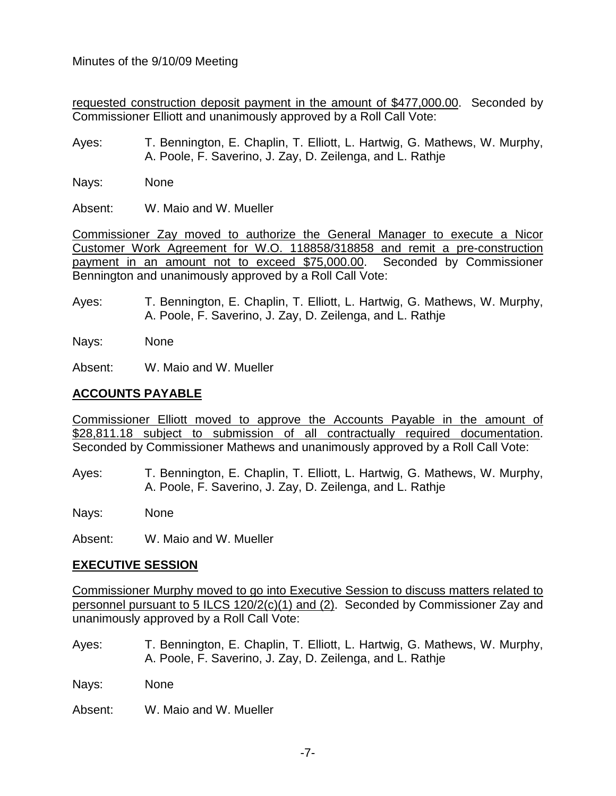requested construction deposit payment in the amount of \$477,000.00. Seconded by Commissioner Elliott and unanimously approved by a Roll Call Vote:

- Ayes: T. Bennington, E. Chaplin, T. Elliott, L. Hartwig, G. Mathews, W. Murphy, A. Poole, F. Saverino, J. Zay, D. Zeilenga, and L. Rathje
- Nays: None

Absent: W. Maio and W. Mueller

Commissioner Zay moved to authorize the General Manager to execute a Nicor Customer Work Agreement for W.O. 118858/318858 and remit a pre-construction payment in an amount not to exceed \$75,000.00. Seconded by Commissioner Bennington and unanimously approved by a Roll Call Vote:

Ayes: T. Bennington, E. Chaplin, T. Elliott, L. Hartwig, G. Mathews, W. Murphy, A. Poole, F. Saverino, J. Zay, D. Zeilenga, and L. Rathje

Nays: None

Absent: W. Maio and W. Mueller

# **ACCOUNTS PAYABLE**

Commissioner Elliott moved to approve the Accounts Payable in the amount of \$28,811.18 subject to submission of all contractually required documentation. Seconded by Commissioner Mathews and unanimously approved by a Roll Call Vote:

Ayes: T. Bennington, E. Chaplin, T. Elliott, L. Hartwig, G. Mathews, W. Murphy, A. Poole, F. Saverino, J. Zay, D. Zeilenga, and L. Rathje

Nays: None

Absent: W. Maio and W. Mueller

### **EXECUTIVE SESSION**

Commissioner Murphy moved to go into Executive Session to discuss matters related to personnel pursuant to 5 ILCS 120/2(c)(1) and (2). Seconded by Commissioner Zay and unanimously approved by a Roll Call Vote:

Ayes: T. Bennington, E. Chaplin, T. Elliott, L. Hartwig, G. Mathews, W. Murphy, A. Poole, F. Saverino, J. Zay, D. Zeilenga, and L. Rathje

Nays: None

Absent: W. Maio and W. Mueller